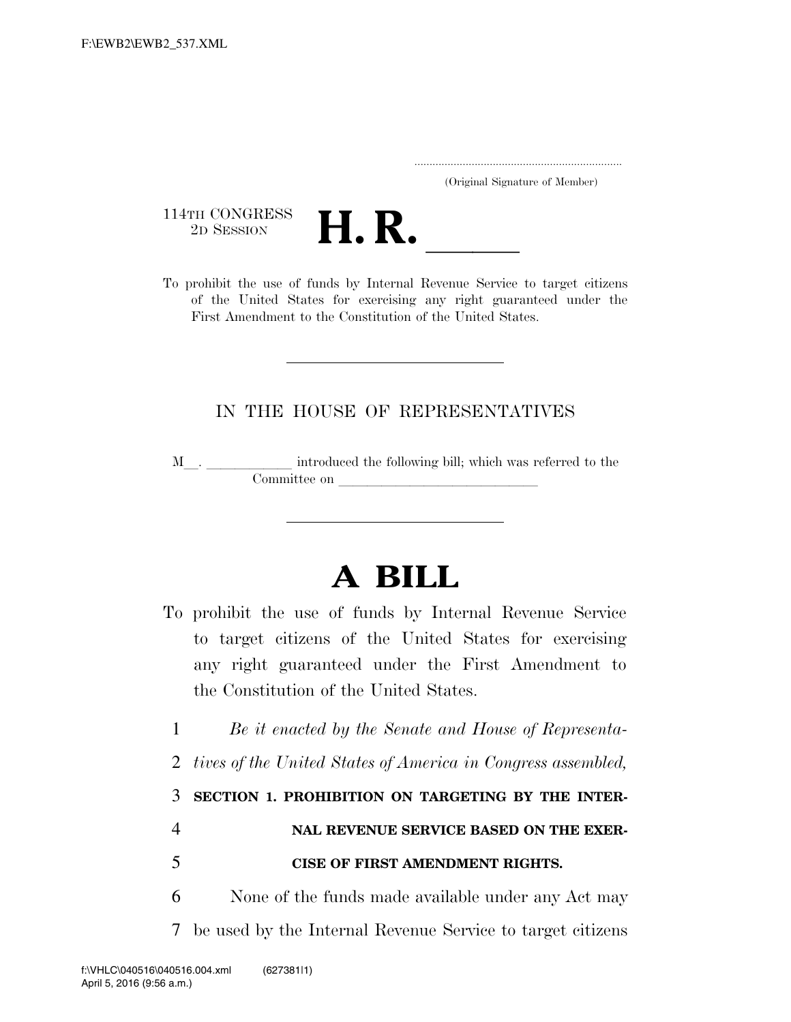..................................................................... (Original Signature of Member)

114TH CONGRESS



To prohibit the use of funds by Internal Revenue Service to target citizens of the United States for exercising any right guaranteed under the First Amendment to the Constitution of the United States.

## IN THE HOUSE OF REPRESENTATIVES

 $\texttt{M}\_\_\_\_\_\_\_\_\_\_\$  introduced the following bill; which was referred to the Committee on

## **A BILL**

- To prohibit the use of funds by Internal Revenue Service to target citizens of the United States for exercising any right guaranteed under the First Amendment to the Constitution of the United States.
	- 1 *Be it enacted by the Senate and House of Representa-*
	- 2 *tives of the United States of America in Congress assembled,*

3 **SECTION 1. PROHIBITION ON TARGETING BY THE INTER-**

## 4 **NAL REVENUE SERVICE BASED ON THE EXER-**

## 5 **CISE OF FIRST AMENDMENT RIGHTS.**

6 None of the funds made available under any Act may 7 be used by the Internal Revenue Service to target citizens